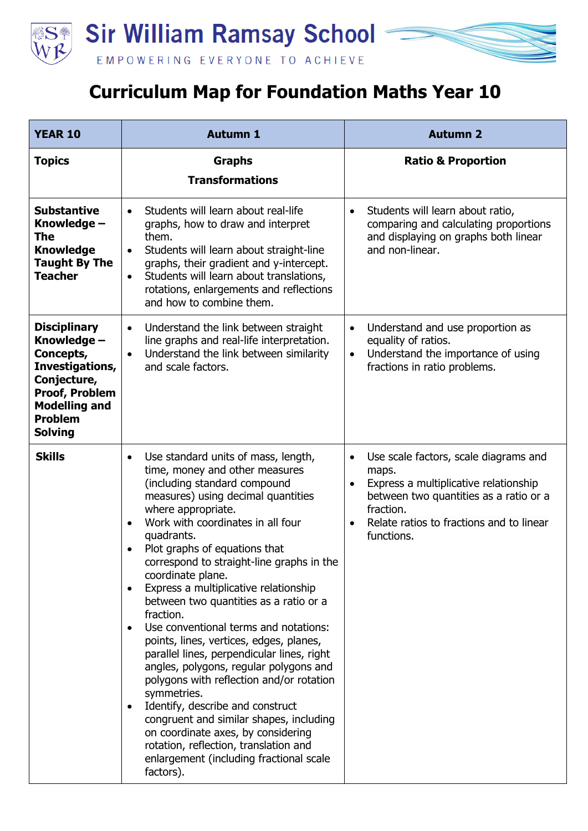

## **Curriculum Map for Foundation Maths Year 10**

| <b>YEAR 10</b>                                                                                                                                                         | <b>Autumn 1</b>                                                                                                                                                                                                                                                                                                                                                                                                                                                                                                                                                                                                                                                                                                                                                                                                                                                                                                                          | <b>Autumn 2</b>                                                                                                                                                                                                                    |
|------------------------------------------------------------------------------------------------------------------------------------------------------------------------|------------------------------------------------------------------------------------------------------------------------------------------------------------------------------------------------------------------------------------------------------------------------------------------------------------------------------------------------------------------------------------------------------------------------------------------------------------------------------------------------------------------------------------------------------------------------------------------------------------------------------------------------------------------------------------------------------------------------------------------------------------------------------------------------------------------------------------------------------------------------------------------------------------------------------------------|------------------------------------------------------------------------------------------------------------------------------------------------------------------------------------------------------------------------------------|
| <b>Topics</b>                                                                                                                                                          | <b>Graphs</b><br><b>Transformations</b>                                                                                                                                                                                                                                                                                                                                                                                                                                                                                                                                                                                                                                                                                                                                                                                                                                                                                                  | <b>Ratio &amp; Proportion</b>                                                                                                                                                                                                      |
| <b>Substantive</b><br>Knowledge -<br>The<br><b>Knowledge</b><br><b>Taught By The</b><br><b>Teacher</b>                                                                 | Students will learn about real-life<br>$\bullet$<br>graphs, how to draw and interpret<br>them.<br>Students will learn about straight-line<br>$\bullet$<br>graphs, their gradient and y-intercept.<br>Students will learn about translations,<br>$\bullet$<br>rotations, enlargements and reflections<br>and how to combine them.                                                                                                                                                                                                                                                                                                                                                                                                                                                                                                                                                                                                         | Students will learn about ratio,<br>$\bullet$<br>comparing and calculating proportions<br>and displaying on graphs both linear<br>and non-linear.                                                                                  |
| <b>Disciplinary</b><br>Knowledge -<br>Concepts,<br>Investigations,<br>Conjecture,<br><b>Proof, Problem</b><br><b>Modelling and</b><br><b>Problem</b><br><b>Solving</b> | Understand the link between straight<br>$\bullet$<br>line graphs and real-life interpretation.<br>Understand the link between similarity<br>$\bullet$<br>and scale factors.                                                                                                                                                                                                                                                                                                                                                                                                                                                                                                                                                                                                                                                                                                                                                              | Understand and use proportion as<br>$\bullet$<br>equality of ratios.<br>Understand the importance of using<br>$\bullet$<br>fractions in ratio problems.                                                                            |
| <b>Skills</b>                                                                                                                                                          | Use standard units of mass, length,<br>time, money and other measures<br>(including standard compound<br>measures) using decimal quantities<br>where appropriate.<br>Work with coordinates in all four<br>$\bullet$<br>quadrants.<br>Plot graphs of equations that<br>correspond to straight-line graphs in the<br>coordinate plane.<br>Express a multiplicative relationship<br>$\bullet$<br>between two quantities as a ratio or a<br>fraction.<br>Use conventional terms and notations:<br>$\bullet$<br>points, lines, vertices, edges, planes,<br>parallel lines, perpendicular lines, right<br>angles, polygons, regular polygons and<br>polygons with reflection and/or rotation<br>symmetries.<br>Identify, describe and construct<br>$\bullet$<br>congruent and similar shapes, including<br>on coordinate axes, by considering<br>rotation, reflection, translation and<br>enlargement (including fractional scale<br>factors). | Use scale factors, scale diagrams and<br>$\bullet$<br>maps.<br>Express a multiplicative relationship<br>$\bullet$<br>between two quantities as a ratio or a<br>fraction.<br>Relate ratios to fractions and to linear<br>functions. |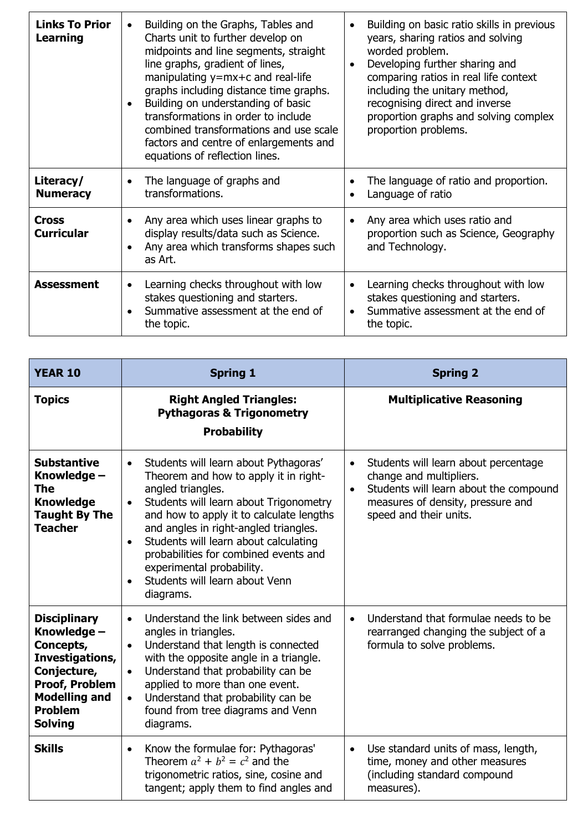| <b>Links To Prior</b><br><b>Learning</b> | Building on the Graphs, Tables and<br>$\bullet$<br>Charts unit to further develop on<br>midpoints and line segments, straight<br>line graphs, gradient of lines,<br>manipulating $y=mx+c$ and real-life<br>graphs including distance time graphs.<br>Building on understanding of basic<br>transformations in order to include<br>combined transformations and use scale<br>factors and centre of enlargements and<br>equations of reflection lines. | Building on basic ratio skills in previous<br>years, sharing ratios and solving<br>worded problem.<br>Developing further sharing and<br>comparing ratios in real life context<br>including the unitary method,<br>recognising direct and inverse<br>proportion graphs and solving complex<br>proportion problems. |
|------------------------------------------|------------------------------------------------------------------------------------------------------------------------------------------------------------------------------------------------------------------------------------------------------------------------------------------------------------------------------------------------------------------------------------------------------------------------------------------------------|-------------------------------------------------------------------------------------------------------------------------------------------------------------------------------------------------------------------------------------------------------------------------------------------------------------------|
| Literacy/<br><b>Numeracy</b>             | The language of graphs and<br>transformations.                                                                                                                                                                                                                                                                                                                                                                                                       | The language of ratio and proportion.<br>Language of ratio                                                                                                                                                                                                                                                        |
| <b>Cross</b><br><b>Curricular</b>        | Any area which uses linear graphs to<br>display results/data such as Science.<br>Any area which transforms shapes such<br>as Art.                                                                                                                                                                                                                                                                                                                    | Any area which uses ratio and<br>proportion such as Science, Geography<br>and Technology.                                                                                                                                                                                                                         |
| <b>Assessment</b>                        | Learning checks throughout with low<br>$\bullet$<br>stakes questioning and starters.<br>Summative assessment at the end of<br>the topic.                                                                                                                                                                                                                                                                                                             | Learning checks throughout with low<br>stakes questioning and starters.<br>Summative assessment at the end of<br>the topic.                                                                                                                                                                                       |

| <b>YEAR 10</b>                                                                                                                                                         | <b>Spring 1</b>                                                                                                                                                                                                                                                                                                                                                                                                                         | <b>Spring 2</b>                                                                                                                                                                                    |
|------------------------------------------------------------------------------------------------------------------------------------------------------------------------|-----------------------------------------------------------------------------------------------------------------------------------------------------------------------------------------------------------------------------------------------------------------------------------------------------------------------------------------------------------------------------------------------------------------------------------------|----------------------------------------------------------------------------------------------------------------------------------------------------------------------------------------------------|
| <b>Topics</b>                                                                                                                                                          | <b>Right Angled Triangles:</b><br><b>Pythagoras &amp; Trigonometry</b><br><b>Probability</b>                                                                                                                                                                                                                                                                                                                                            | <b>Multiplicative Reasoning</b>                                                                                                                                                                    |
| <b>Substantive</b><br>Knowledge -<br>The<br><b>Knowledge</b><br><b>Taught By The</b><br><b>Teacher</b>                                                                 | Students will learn about Pythagoras'<br>$\bullet$<br>Theorem and how to apply it in right-<br>angled triangles.<br>Students will learn about Trigonometry<br>$\bullet$<br>and how to apply it to calculate lengths<br>and angles in right-angled triangles.<br>Students will learn about calculating<br>$\bullet$<br>probabilities for combined events and<br>experimental probability.<br>Students will learn about Venn<br>diagrams. | Students will learn about percentage<br>$\bullet$<br>change and multipliers.<br>Students will learn about the compound<br>$\bullet$<br>measures of density, pressure and<br>speed and their units. |
| <b>Disciplinary</b><br>Knowledge -<br>Concepts,<br>Investigations,<br>Conjecture,<br><b>Proof, Problem</b><br><b>Modelling and</b><br><b>Problem</b><br><b>Solving</b> | Understand the link between sides and<br>$\bullet$<br>angles in triangles.<br>Understand that length is connected<br>$\bullet$<br>with the opposite angle in a triangle.<br>Understand that probability can be<br>$\bullet$<br>applied to more than one event.<br>Understand that probability can be<br>$\bullet$<br>found from tree diagrams and Venn<br>diagrams.                                                                     | Understand that formulae needs to be<br>$\bullet$<br>rearranged changing the subject of a<br>formula to solve problems.                                                                            |
| <b>Skills</b>                                                                                                                                                          | Know the formulae for: Pythagoras'<br>$\bullet$<br>Theorem $a^2 + b^2 = c^2$ and the<br>trigonometric ratios, sine, cosine and<br>tangent; apply them to find angles and                                                                                                                                                                                                                                                                | Use standard units of mass, length,<br>$\bullet$<br>time, money and other measures<br>(including standard compound<br>measures).                                                                   |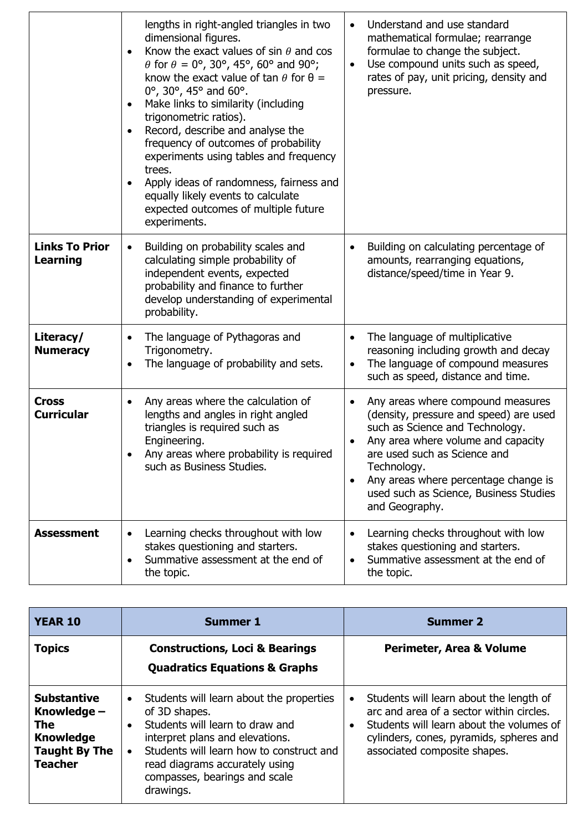|                                          | lengths in right-angled triangles in two<br>dimensional figures.<br>Know the exact values of sin $\theta$ and cos<br>$\theta$ for $\theta = 0^{\circ}$ , 30°, 45°, 60° and 90°;<br>know the exact value of tan $\theta$ for $\theta =$<br>0°, 30°, 45° and 60°.<br>Make links to similarity (including<br>trigonometric ratios).<br>Record, describe and analyse the<br>frequency of outcomes of probability<br>experiments using tables and frequency<br>trees.<br>Apply ideas of randomness, fairness and<br>equally likely events to calculate<br>expected outcomes of multiple future<br>experiments. | Understand and use standard<br>$\bullet$<br>mathematical formulae; rearrange<br>formulae to change the subject.<br>Use compound units such as speed,<br>$\bullet$<br>rates of pay, unit pricing, density and<br>pressure.                                                                                            |
|------------------------------------------|-----------------------------------------------------------------------------------------------------------------------------------------------------------------------------------------------------------------------------------------------------------------------------------------------------------------------------------------------------------------------------------------------------------------------------------------------------------------------------------------------------------------------------------------------------------------------------------------------------------|----------------------------------------------------------------------------------------------------------------------------------------------------------------------------------------------------------------------------------------------------------------------------------------------------------------------|
| <b>Links To Prior</b><br><b>Learning</b> | Building on probability scales and<br>$\bullet$<br>calculating simple probability of<br>independent events, expected<br>probability and finance to further<br>develop understanding of experimental<br>probability.                                                                                                                                                                                                                                                                                                                                                                                       | Building on calculating percentage of<br>$\bullet$<br>amounts, rearranging equations,<br>distance/speed/time in Year 9.                                                                                                                                                                                              |
| Literacy/<br><b>Numeracy</b>             | The language of Pythagoras and<br>$\bullet$<br>Trigonometry.<br>The language of probability and sets.                                                                                                                                                                                                                                                                                                                                                                                                                                                                                                     | The language of multiplicative<br>$\bullet$<br>reasoning including growth and decay<br>The language of compound measures<br>such as speed, distance and time.                                                                                                                                                        |
| <b>Cross</b><br><b>Curricular</b>        | Any areas where the calculation of<br>$\bullet$<br>lengths and angles in right angled<br>triangles is required such as<br>Engineering.<br>Any areas where probability is required<br>such as Business Studies.                                                                                                                                                                                                                                                                                                                                                                                            | Any areas where compound measures<br>(density, pressure and speed) are used<br>such as Science and Technology.<br>Any area where volume and capacity<br>are used such as Science and<br>Technology.<br>Any areas where percentage change is<br>$\bullet$<br>used such as Science, Business Studies<br>and Geography. |
| <b>Assessment</b>                        | Learning checks throughout with low<br>stakes questioning and starters.<br>Summative assessment at the end of<br>$\bullet$<br>the topic.                                                                                                                                                                                                                                                                                                                                                                                                                                                                  | Learning checks throughout with low<br>stakes questioning and starters.<br>Summative assessment at the end of<br>the topic.                                                                                                                                                                                          |

| <b>YEAR 10</b>                                                                                                | <b>Summer 1</b>                                                                                                                                                                                                                                                                       | <b>Summer 2</b>                                                                                                                                                                                                      |
|---------------------------------------------------------------------------------------------------------------|---------------------------------------------------------------------------------------------------------------------------------------------------------------------------------------------------------------------------------------------------------------------------------------|----------------------------------------------------------------------------------------------------------------------------------------------------------------------------------------------------------------------|
| <b>Topics</b>                                                                                                 | <b>Constructions, Loci &amp; Bearings</b><br><b>Quadratics Equations &amp; Graphs</b>                                                                                                                                                                                                 | Perimeter, Area & Volume                                                                                                                                                                                             |
| <b>Substantive</b><br>Knowledge -<br><b>The</b><br><b>Knowledge</b><br><b>Taught By The</b><br><b>Teacher</b> | Students will learn about the properties<br>$\bullet$<br>of 3D shapes.<br>Students will learn to draw and<br>$\bullet$<br>interpret plans and elevations.<br>Students will learn how to construct and<br>read diagrams accurately using<br>compasses, bearings and scale<br>drawings. | Students will learn about the length of<br>٠<br>arc and area of a sector within circles.<br>Students will learn about the volumes of<br>٠<br>cylinders, cones, pyramids, spheres and<br>associated composite shapes. |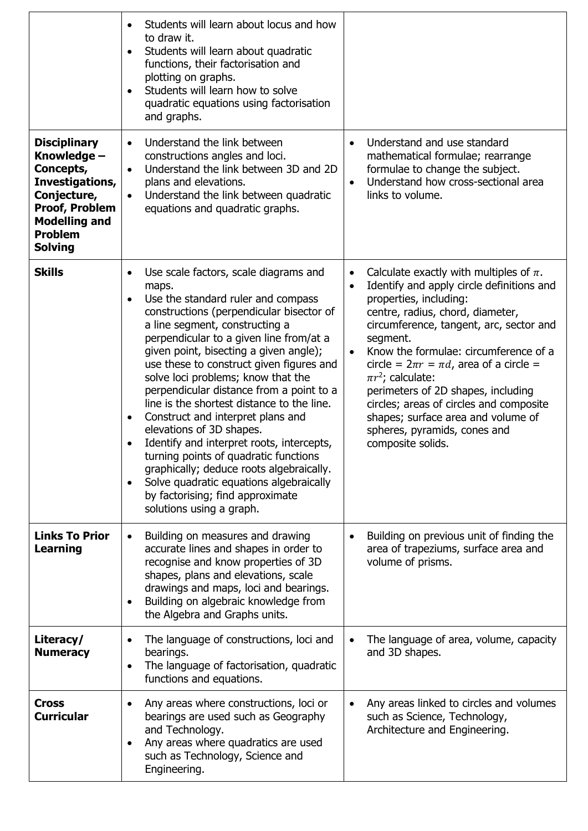|                                                                                                                                                                        | Students will learn about locus and how<br>to draw it.<br>Students will learn about quadratic<br>functions, their factorisation and<br>plotting on graphs.<br>Students will learn how to solve<br>quadratic equations using factorisation<br>and graphs.                                                                                                                                                                                                                                                                                                                                                                                                                                                                                                                                 |                                                                                                                                                                                                                                                                                                                                                                                                                                                                                                                                          |
|------------------------------------------------------------------------------------------------------------------------------------------------------------------------|------------------------------------------------------------------------------------------------------------------------------------------------------------------------------------------------------------------------------------------------------------------------------------------------------------------------------------------------------------------------------------------------------------------------------------------------------------------------------------------------------------------------------------------------------------------------------------------------------------------------------------------------------------------------------------------------------------------------------------------------------------------------------------------|------------------------------------------------------------------------------------------------------------------------------------------------------------------------------------------------------------------------------------------------------------------------------------------------------------------------------------------------------------------------------------------------------------------------------------------------------------------------------------------------------------------------------------------|
| <b>Disciplinary</b><br>Knowledge -<br>Concepts,<br>Investigations,<br>Conjecture,<br><b>Proof, Problem</b><br><b>Modelling and</b><br><b>Problem</b><br><b>Solving</b> | Understand the link between<br>$\bullet$<br>constructions angles and loci.<br>Understand the link between 3D and 2D<br>$\bullet$<br>plans and elevations.<br>Understand the link between quadratic<br>$\bullet$<br>equations and quadratic graphs.                                                                                                                                                                                                                                                                                                                                                                                                                                                                                                                                       | Understand and use standard<br>mathematical formulae; rearrange<br>formulae to change the subject.<br>Understand how cross-sectional area<br>$\bullet$<br>links to volume.                                                                                                                                                                                                                                                                                                                                                               |
| <b>Skills</b>                                                                                                                                                          | Use scale factors, scale diagrams and<br>maps.<br>Use the standard ruler and compass<br>$\bullet$<br>constructions (perpendicular bisector of<br>a line segment, constructing a<br>perpendicular to a given line from/at a<br>given point, bisecting a given angle);<br>use these to construct given figures and<br>solve loci problems; know that the<br>perpendicular distance from a point to a<br>line is the shortest distance to the line.<br>Construct and interpret plans and<br>$\bullet$<br>elevations of 3D shapes.<br>Identify and interpret roots, intercepts,<br>turning points of quadratic functions<br>graphically; deduce roots algebraically.<br>Solve quadratic equations algebraically<br>$\bullet$<br>by factorising; find approximate<br>solutions using a graph. | Calculate exactly with multiples of $\pi$ .<br>Identify and apply circle definitions and<br>$\bullet$<br>properties, including:<br>centre, radius, chord, diameter,<br>circumference, tangent, arc, sector and<br>segment.<br>Know the formulae: circumference of a<br>$\bullet$<br>circle = $2\pi r = \pi d$ , area of a circle =<br>$\pi r^2$ ; calculate:<br>perimeters of 2D shapes, including<br>circles; areas of circles and composite<br>shapes; surface area and volume of<br>spheres, pyramids, cones and<br>composite solids. |
| <b>Links To Prior</b><br><b>Learning</b>                                                                                                                               | Building on measures and drawing<br>$\bullet$<br>accurate lines and shapes in order to<br>recognise and know properties of 3D<br>shapes, plans and elevations, scale<br>drawings and maps, loci and bearings.<br>Building on algebraic knowledge from<br>$\bullet$<br>the Algebra and Graphs units.                                                                                                                                                                                                                                                                                                                                                                                                                                                                                      | Building on previous unit of finding the<br>area of trapeziums, surface area and<br>volume of prisms.                                                                                                                                                                                                                                                                                                                                                                                                                                    |
| Literacy/<br><b>Numeracy</b>                                                                                                                                           | The language of constructions, loci and<br>bearings.<br>The language of factorisation, quadratic<br>$\bullet$<br>functions and equations.                                                                                                                                                                                                                                                                                                                                                                                                                                                                                                                                                                                                                                                | The language of area, volume, capacity<br>and 3D shapes.                                                                                                                                                                                                                                                                                                                                                                                                                                                                                 |
| <b>Cross</b><br><b>Curricular</b>                                                                                                                                      | Any areas where constructions, loci or<br>bearings are used such as Geography<br>and Technology.<br>Any areas where quadratics are used<br>$\bullet$<br>such as Technology, Science and<br>Engineering.                                                                                                                                                                                                                                                                                                                                                                                                                                                                                                                                                                                  | Any areas linked to circles and volumes<br>such as Science, Technology,<br>Architecture and Engineering.                                                                                                                                                                                                                                                                                                                                                                                                                                 |